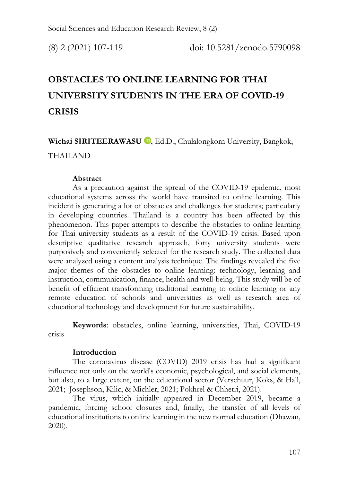# **OBSTACLES TO ONLINE LEARNING FOR THAI UNIVERSITY STUDENTS IN THE ERA OF COVID-19 CRISIS**

Wichai SIRITEERAWASU<sup>D</sup>, Ed.D., Chulalongkorn University, Bangkok, THAILAND

### **Abstract**

As a precaution against the spread of the COVID-19 epidemic, most educational systems across the world have transited to online learning. This incident is generating a lot of obstacles and challenges for students; particularly in developing countries. Thailand is a country has been affected by this phenomenon. This paper attempts to describe the obstacles to online learning for Thai university students as a result of the COVID-19 crisis. Based upon descriptive qualitative research approach, forty university students were purposively and conveniently selected for the research study. The collected data were analyzed using a content analysis technique. The findings revealed the five major themes of the obstacles to online learning: technology, learning and instruction, communication, finance, health and well-being. This study will be of benefit of efficient transforming traditional learning to online learning or any remote education of schools and universities as well as research area of educational technology and development for future sustainability.

**Keywords**: obstacles, online learning, universities, Thai, COVID-19 crisis

### **Introduction**

The coronavirus disease (COVID) 2019 crisis has had a significant influence not only on the world's economic, psychological, and social elements, but also, to a large extent, on the educational sector (Verschuur, Koks, & Hall, 2021; Josephson, Kilic, & Michler, 2021; Pokhrel & Chhetri, 2021).

The virus, which initially appeared in December 2019, became a pandemic, forcing school closures and, finally, the transfer of all levels of educational institutions to online learning in the new normal education (Dhawan, 2020).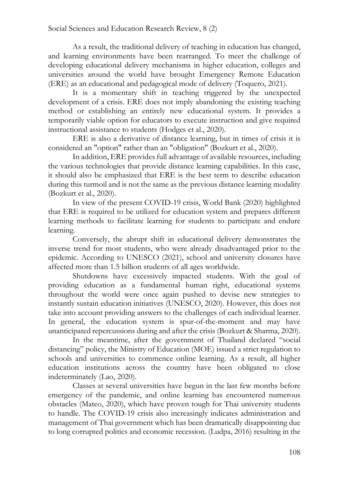As a result, the traditional delivery of teaching in education has changed, and learning environments have been rearranged. To meet the challenge of developing educational delivery mechanisms in higher education, colleges and universities around the world have brought Emergency Remote Education (ERE) as an educational and pedagogical mode of delivery (Toquero, 2021).

It is a momentary shift in teaching triggered by the unexpected development of a crisis. ERE does not imply abandoning the existing teaching method or establishing an entirely new educational system. It provides a temporarily viable option for educators to execute instruction and give required instructional assistance to students (Hodges et al., 2020).

ERE is also a derivative of distance learning, but in times of crisis it is considered an "option" rather than an "obligation" (Bozkurt et al., 2020).

In addition, ERE provides full advantage of available resources, including the various technologies that provide distance learning capabilities. In this case, it should also be emphasized that ERE is the best term to describe education during this turmoil and is not the same as the previous distance learning modality (Bozkurt et al., 2020).

In view of the present COVID-19 crisis, World Bank (2020) highlighted that ERE is required to be utilized for education system and prepares different learning methods to facilitate learning for students to participate and endure learning.

Conversely, the abrupt shift in educational delivery demonstrates the inverse trend for most students, who were already disadvantaged prior to the epidemic. According to UNESCO (2021), school and university closures have affected more than 1.5 billion students of all ages worldwide.

Shutdowns have excessively impacted students. With the goal of providing education as a fundamental human right, educational systems throughout the world were once again pushed to devise new strategies to instantly sustain education initiatives (UNESCO, 2020). However, this does not take into account providing answers to the challenges of each individual learner. In general, the education system is spur-of-the-moment and may have unanticipated repercussions during and after the crisis (Bozkurt & Sharma, 2020).

In the meantime, after the government of Thailand declared "social distancing" policy, the Ministry of Education (MOE) issued a strict regulation to schools and universities to commence online learning. As a result, all higher education institutions across the country have been obligated to close indeterminately (Lao, 2020).

Classes at several universities have begun in the last few months before emergency of the pandemic, and online learning has encountered numerous obstacles (Mateo, 2020), which have proven tough for Thai university students to handle. The COVID-19 crisis also increasingly indicates administration and management of Thai government which has been dramatically disappointing due to long corrupted politics and economic recession. (Ludpa, 2016) resulting in the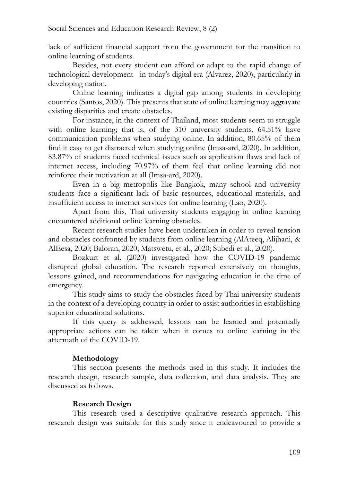lack of sufficient financial support from the government for the transition to online learning of students.

Besides, not every student can afford or adapt to the rapid change of technological development in today's digital era (Alvarez, 2020), particularly in developing nation.

Online learning indicates a digital gap among students in developing countries (Santos, 2020). This presents that state of online learning may aggravate existing disparities and create obstacles.

For instance, in the context of Thailand, most students seem to struggle with online learning; that is, of the 310 university students, 64.51% have communication problems when studying online. In addition, 80.65% of them find it easy to get distracted when studying online (Imsa-ard, 2020). In addition, 83.87% of students faced technical issues such as application flaws and lack of internet access, including 70.97% of them feel that online learning did not reinforce their motivation at all (Imsa-ard, 2020).

Even in a big metropolis like Bangkok, many school and university students face a significant lack of basic resources, educational materials, and insufficient access to internet services for online learning (Lao, 2020).

Apart from this, Thai university students engaging in online learning encountered additional online learning obstacles.

Recent research studies have been undertaken in order to reveal tension and obstacles confronted by students from online learning (AlAteeq, Alijhani, & AlEesa, 2020; Baloran, 2020; Matswetu, et al., 2020; Subedi et al., 2020).

Bozkurt et al. (2020) investigated how the COVID-19 pandemic disrupted global education. The research reported extensively on thoughts, lessons gained, and recommendations for navigating education in the time of emergency.

This study aims to study the obstacles faced by Thai university students in the context of a developing country in order to assist authorities in establishing superior educational solutions.

If this query is addressed, lessons can be learned and potentially appropriate actions can be taken when it comes to online learning in the aftermath of the COVID-19.

## **Methodology**

This section presents the methods used in this study. It includes the research design, research sample, data collection, and data analysis. They are discussed as follows.

## **Research Design**

This research used a descriptive qualitative research approach. This research design was suitable for this study since it endeavoured to provide a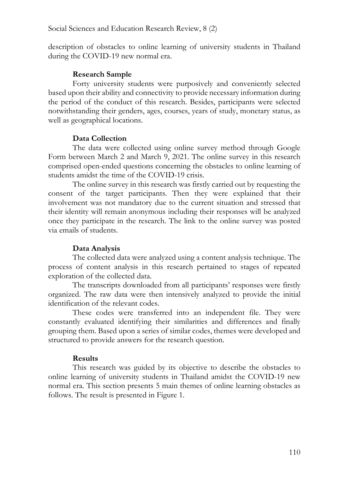description of obstacles to online learning of university students in Thailand during the COVID-19 new normal era.

## **Research Sample**

Forty university students were purposively and conveniently selected based upon their ability and connectivity to provide necessary information during the period of the conduct of this research. Besides, participants were selected notwithstanding their genders, ages, courses, years of study, monetary status, as well as geographical locations.

## **Data Collection**

The data were collected using online survey method through Google Form between March 2 and March 9, 2021. The online survey in this research comprised open-ended questions concerning the obstacles to online learning of students amidst the time of the COVID-19 crisis.

The online survey in this research was firstly carried out by requesting the consent of the target participants. Then they were explained that their involvement was not mandatory due to the current situation and stressed that their identity will remain anonymous including their responses will be analyzed once they participate in the research. The link to the online survey was posted via emails of students.

# **Data Analysis**

The collected data were analyzed using a content analysis technique. The process of content analysis in this research pertained to stages of repeated exploration of the collected data.

The transcripts downloaded from all participants' responses were firstly organized. The raw data were then intensively analyzed to provide the initial identification of the relevant codes.

These codes were transferred into an independent file. They were constantly evaluated identifying their similarities and differences and finally grouping them. Based upon a series of similar codes, themes were developed and structured to provide answers for the research question.

# **Results**

This research was guided by its objective to describe the obstacles to online learning of university students in Thailand amidst the COVID-19 new normal era. This section presents 5 main themes of online learning obstacles as follows. The result is presented in Figure 1.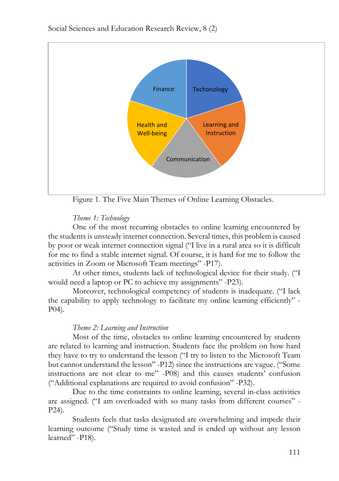

Figure 1. The Five Main Themes of Online Learning Obstacles.

## *Theme 1: Technology*

One of the most recurring obstacles to online learning encountered by the students is unsteady internet connection. Several times, this problem is caused by poor or weak internet connection signal ("I live in a rural area so it is difficult for me to find a stable internet signal. Of course, it is hard for me to follow the activities in Zoom or Microsoft Team meetings" -P17).

At other times, students lack of technological device for their study. ("I would need a laptop or PC to achieve my assignments" -P23).

Moreover, technological competency of students is inadequate. ("I lack the capability to apply technology to facilitate my online learning efficiently" - P04).

## *Theme 2: Learning and Instruction*

Most of the time, obstacles to online learning encountered by students are related to learning and instruction. Students face the problem on how hard they have to try to understand the lesson ("I try to listen to the Microsoft Team but cannot understand the lesson" -P12) since the instructions are vague. ("Some instructions are not clear to me" -P08) and this causes students' confusion ("Additional explanations are required to avoid confusion" -P32).

Due to the time constraints to online learning, several in-class activities are assigned. ("I am overloaded with so many tasks from different courses" - P24).

Students feels that tasks designated are overwhelming and impede their learning outcome ("Study time is wasted and is ended up without any lesson learned" -P18).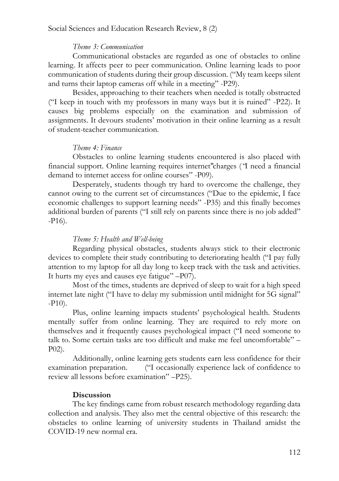### *Theme 3: Communication*

Communicational obstacles are regarded as one of obstacles to online learning. It affects peer to peer communication. Online learning leads to poor communication of students during their group discussion. ("My team keeps silent and turns their laptop cameras off while in a meeting" -P29).

Besides, approaching to their teachers when needed is totally obstructed ("I keep in touch with my professors in many ways but it is ruined" -P22). It causes big problems especially on the examination and submission of assignments. It devours students' motivation in their online learning as a result of student-teacher communication.

### *Theme 4: Finance*

Obstacles to online learning students encountered is also placed with financial support. Online learning requires internet"charges (*"*I need a financial demand to internet access for online courses" -P09).

Desperately, students though try hard to overcome the challenge, they cannot owing to the current set of circumstances ("Due to the epidemic, I face economic challenges to support learning needs" -P35) and this finally becomes additional burden of parents ("I still rely on parents since there is no job added" -P16).

#### *Theme 5: Health and Well-being*

Regarding physical obstacles, students always stick to their electronic devices to complete their study contributing to deteriorating health ("I pay fully attention to my laptop for all day long to keep track with the task and activities. It hurts my eyes and causes eye fatigue" –P07).

Most of the times, students are deprived of sleep to wait for a high speed internet late night ("I have to delay my submission until midnight for 5G signal" -P10).

Plus, online learning impacts students' psychological health. Students mentally suffer from online learning. They are required to rely more on themselves and it frequently causes psychological impact ("I need someone to talk to. Some certain tasks are too difficult and make me feel uncomfortable" – P02).

Additionally, online learning gets students earn less confidence for their examination preparation. ("I occasionally experience lack of confidence to review all lessons before examination" –P25).

### **Discussion**

The key findings came from robust research methodology regarding data collection and analysis. They also met the central objective of this research: the obstacles to online learning of university students in Thailand amidst the COVID-19 new normal era.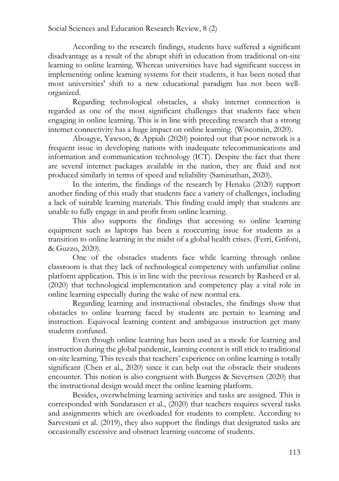According to the research findings, students have suffered a significant disadvantage as a result of the abrupt shift in education from traditional on-site learning to online learning. Whereas universities have had significant success in implementing online learning systems for their students, it has been noted that most universities' shift to a new educational paradigm has not been wellorganized.

Regarding technological obstacles, a shaky internet connection is regarded as one of the most significant challenges that students face when engaging in online learning. This is in line with preceding research that a strong internet connectivity has a huge impact on online learning. (Wisconsin, 2020).

Aboagye, Yawson, & Appiah (2020) pointed out that poor network is a frequent issue in developing nations with inadequate telecommunications and information and communication technology (ICT). Despite the fact that there are several internet packages available in the nation, they are fluid and not produced similarly in terms of speed and reliability (Saminathan, 2020).

In the interim, the findings of the research by Henaku (2020) support another finding of this study that students face a variety of challenges, including a lack of suitable learning materials. This finding could imply that students are unable to fully engage in and profit from online learning.

This also supports the findings that accessing to online learning equipment such as laptops has been a reoccurring issue for students as a transition to online learning in the midst of a global health crises. (Ferri, Grifoni, & Guzzo, 2020).

One of the obstacles students face while learning through online classroom is that they lack of technological competency with unfamiliar online platform application. This is in line with the previous research by Rasheed et al. (2020) that technological implementation and competency play a vital role in online learning especially during the wake of new normal era.

Regarding learning and instructional obstacles, the findings show that obstacles to online learning faced by students are pertain to learning and instruction. Equivocal learning content and ambiguous instruction get many students confused.

Even though online learning has been used as a mode for learning and instruction during the global pandemic, learning content is still stick to traditional on-site learning. This reveals that teachers' experience on online learning is totally significant (Chen et al., 2020) since it can help out the obstacle their students encounter. This notion is also congruent with Burgess & Sievertsen (2020) that the instructional design would meet the online learning platform.

Besides, overwhelming learning activities and tasks are assigned. This is corresponded with Sundarasen et al., (2020) that teachers requires several tasks and assignments which are overloaded for students to complete. According to Sarvestani et al. (2019), they also support the findings that designated tasks are occasionally excessive and obstruct learning outcome of students.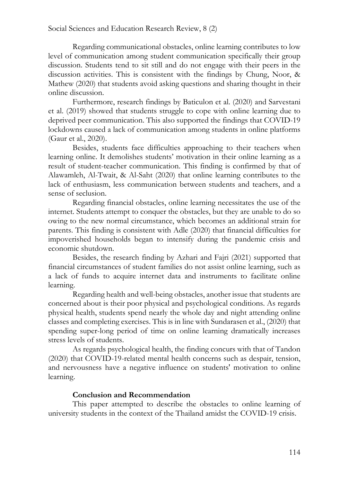Regarding communicational obstacles, online learning contributes to low level of communication among student communication specifically their group discussion. Students tend to sit still and do not engage with their peers in the discussion activities. This is consistent with the findings by Chung, Noor, & Mathew (2020) that students avoid asking questions and sharing thought in their online discussion.

Furthermore, research findings by Baticulon et al. (2020) and Sarvestani et al. (2019) showed that students struggle to cope with online learning due to deprived peer communication. This also supported the findings that COVID-19 lockdowns caused a lack of communication among students in online platforms (Gaur et al., 2020).

Besides, students face difficulties approaching to their teachers when learning online. It demolishes students' motivation in their online learning as a result of student-teacher communication. This finding is confirmed by that of Alawamleh, Al-Twait, & Al-Saht (2020) that online learning contributes to the lack of enthusiasm, less communication between students and teachers, and a sense of seclusion.

Regarding financial obstacles, online learning necessitates the use of the internet. Students attempt to conquer the obstacles, but they are unable to do so owing to the new normal circumstance, which becomes an additional strain for parents. This finding is consistent with Adle (2020) that financial difficulties for impoverished households began to intensify during the pandemic crisis and economic shutdown.

Besides, the research finding by Azhari and Fajri (2021) supported that financial circumstances of student families do not assist online learning, such as a lack of funds to acquire internet data and instruments to facilitate online learning.

Regarding health and well-being obstacles, another issue that students are concerned about is their poor physical and psychological conditions. As regards physical health, students spend nearly the whole day and night attending online classes and completing exercises. This is in line with Sundarasen et al., (2020) that spending super-long period of time on online learning dramatically increases stress levels of students.

As regards psychological health, the finding concurs with that of Tandon (2020) that COVID-19-related mental health concerns such as despair, tension, and nervousness have a negative influence on students' motivation to online learning.

### **Conclusion and Recommendation**

This paper attempted to describe the obstacles to online learning of university students in the context of the Thailand amidst the COVID-19 crisis.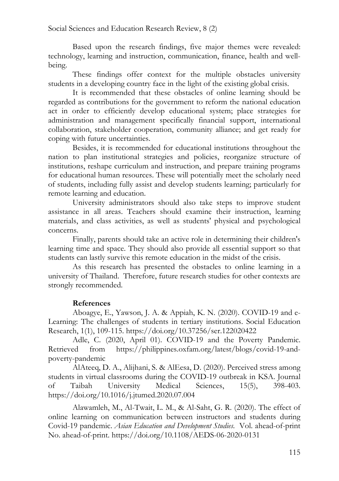Based upon the research findings, five major themes were revealed: technology, learning and instruction, communication, finance, health and wellbeing.

These findings offer context for the multiple obstacles university students in a developing country face in the light of the existing global crisis.

It is recommended that these obstacles of online learning should be regarded as contributions for the government to reform the national education act in order to efficiently develop educational system; place strategies for administration and management specifically financial support, international collaboration, stakeholder cooperation, community alliance; and get ready for coping with future uncertainties.

Besides, it is recommended for educational institutions throughout the nation to plan institutional strategies and policies, reorganize structure of institutions, reshape curriculum and instruction, and prepare training programs for educational human resources. These will potentially meet the scholarly need of students, including fully assist and develop students learning; particularly for remote learning and education.

University administrators should also take steps to improve student assistance in all areas. Teachers should examine their instruction, learning materials, and class activities, as well as students' physical and psychological concerns.

Finally, parents should take an active role in determining their children's learning time and space. They should also provide all essential support so that students can lastly survive this remote education in the midst of the crisis.

As this research has presented the obstacles to online learning in a university of Thailand. Therefore, future research studies for other contexts are strongly recommended.

## **References**

Aboagye, E., Yawson, J. A. & Appiah, K. N. (2020). COVID-19 and e-Learning: The challenges of students in tertiary institutions. Social Education Research, 1(1), 109-115. https://doi.org/10.37256/ser.122020422

Adle, C. (2020, April 01). COVID-19 and the Poverty Pandemic. Retrieved from https://philippines.oxfam.org/latest/blogs/covid-19-andpoverty-pandemic

AlAteeq, D. A., Alijhani, S. & AlEesa, D. (2020). Perceived stress among students in virtual classrooms during the COVID-19 outbreak in KSA. Journal of Taibah University Medical Sciences, 15(5), 398-403. https://doi.org/10.1016/j.jtumed.2020.07.004

Alawamleh, M., Al-Twait, L. M., & Al-Saht, G. R. (2020). The effect of online learning on communication between instructors and students during Covid-19 pandemic. *Asian Education and Development Studies*. Vol. ahead-of-print No. ahead-of-print. https://doi.org/10.1108/AEDS-06-2020-0131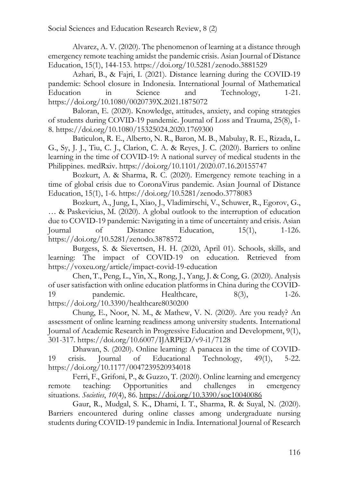Alvarez, A. V. (2020). The phenomenon of learning at a distance through emergency remote teaching amidst the pandemic crisis. Asian Journal of Distance Education, 15(1), 144-153. https://doi.org/10.5281/zenodo.3881529

Azhari, B., & Fajri, I. (2021). Distance learning during the COVID-19 pandemic: School closure in Indonesia. International Journal of Mathematical Education in Science and Technology, 1-21. https://doi.org/10.1080/0020739X.2021.1875072

Baloran, E. (2020). Knowledge, attitudes, anxiety, and coping strategies of students during COVID-19 pandemic. Journal of Loss and Trauma, 25(8), 1- 8. https://doi.org/10.1080/15325024.2020.1769300

Baticulon, R. E., Alberto, N. R., Baron, M. B., Mabulay, R. E., Rizada, L. G., Sy, J. J., Tiu, C. J., Clarion, C. A. & Reyes, J. C. (2020). Barriers to online learning in the time of COVID-19: A national survey of medical students in the Philippines. medRxiv. https://doi.org/10.1101/2020.07.16.20155747

Bozkurt, A. & Sharma, R. C. (2020). Emergency remote teaching in a time of global crisis due to CoronaVirus pandemic. Asian Journal of Distance Education, 15(1), 1-6. https://doi.org/10.5281/zenodo.3778083

Bozkurt, A., Jung, I., Xiao, J., Vladimirschi, V., Schuwer, R., Egorov, G., … & Paskevicius, M. (2020). A global outlook to the interruption of education due to COVID-19 pandemic: Navigating in a time of uncertainty and crisis. Asian Journal of Distance Education, 15(1), 1-126. https://doi.org/10.5281/zenodo.3878572

Burgess, S. & Sievertsen, H. H. (2020, April 01). Schools, skills, and learning: The impact of COVID-19 on education. Retrieved from https://voxeu.org/article/impact-covid-19-education

Chen, T., Peng, L., Yin, X., Rong, J., Yang, J. & Cong, G. (2020). Analysis of user satisfaction with online education platforms in China during the COVID-19 pandemic. Healthcare, 8(3), 1-26. https://doi.org/10.3390/healthcare8030200

Chung, E., Noor, N. M., & Mathew, V. N. (2020). Are you ready? An assessment of online learning readiness among university students. International Journal of Academic Research in Progressive Education and Development, 9(1), 301-317. https://doi.org/10.6007/IJARPED/v9-i1/7128

Dhawan, S. (2020). Online learning: A panacea in the time of COVID-19 crisis. Journal of Educational Technology, 49(1), 5-22. https://doi.org/10.1177/0047239520934018

Ferri, F., Grifoni, P., & Guzzo, T. (2020). Online learning and emergency remote teaching: Opportunities and challenges in emergency situations. *Societies*, *10*(4), 86. https://doi.org/10.3390/soc10040086

Gaur, R., Mudgal, S. K., Dharni, I. T., Sharma, R. & Suyal, N. (2020). Barriers encountered during online classes among undergraduate nursing students during COVID-19 pandemic in India. International Journal of Research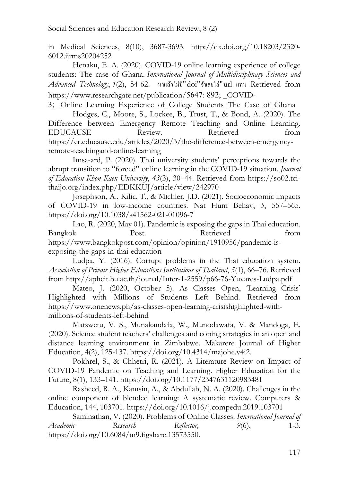in Medical Sciences, 8(10), 3687-3693. http://dx.doi.org/10.18203/2320- 6012.ijrms20204252

Henaku, E. A. (2020). COVID-19 online learning experience of college students: The case of Ghana. *International Journal of Multidisciplinary Sciences and Advanced Technology*, *1*(2), 54-62. หาแล้วไม่มี"doi"จ้าเลยใส่"url แทน Retrieved from https://www.researchgate.net/publication/5647: 892; COVID-

3; Online Learning Experience of College Students The Case of Ghana Hodges, C., Moore, S., Lockee, B., Trust, T., & Bond, A. (2020). The Difference between Emergency Remote Teaching and Online Learning. EDUCAUSE Review. Retrieved from https://er.educause.edu/articles/2020/3/the-difference-between-emergencyremote-teachingand-online-learning

Imsa-ard, P. (2020). Thai university students' perceptions towards the abrupt transition to "forced" online learning in the COVID-19 situation. *Journal of Education Khon Kaen University*, *43*(3), 30–44. Retrieved from https://so02.tcithaijo.org/index.php/EDKKUJ/article/view/242970

Josephson, A., Kilic, T., & Michler, J.D. (2021). Socioeconomic impacts of COVID-19 in low-income countries. Nat Hum Behav, *5*, 557–565. https://doi.org/10.1038/s41562-021-01096-7

Lao, R. (2020, May 01). Pandemic is exposing the gaps in Thai education. Bangkok Post. Retrieved from https://www.bangkokpost.com/opinion/opinion/1910956/pandemic-isexposing-the-gaps-in-thai-education

Ludpa, Y. (2016). Corrupt problems in the Thai education system. *Association of Private Higher Educations Institutions of Thailand*, *5*(1), 66–76. Retrieved from http://apheit.bu.ac.th/jounal/Inter-1-2559/p66-76-Yuvares-Ludpa.pdf

Mateo, J. (2020, October 5). As Classes Open, 'Learning Crisis' Highlighted with Millions of Students Left Behind. Retrieved from https://www.onenews.ph/as-classes-open-learning-crisishighlighted-withmillions-of-students-left-behind

Matswetu, V. S., Munakandafa, W., Munodawafa, V. & Mandoga, E. (2020). Science student teachers' challenges and coping strategies in an open and distance learning environment in Zimbabwe. Makarere Journal of Higher Education, 4(2), 125-137. https://doi.org/10.4314/majohe.v4i2.

Pokhrel, S., & Chhetri, R. (2021). A Literature Review on Impact of COVID-19 Pandemic on Teaching and Learning. Higher Education for the Future, 8(1), 133–141. https://doi.org/10.1177/2347631120983481

Rasheed, R. A., Kamsin, A., & Abdullah, N. A. (2020). Challenges in the online component of blended learning: A systematic review. Computers & Education, 144, 103701. https://doi.org/10.1016/j.compedu.2019.103701

Saminathan, V. (2020). Problems of Online Classes. *International Journal of Academic Research Reflector, 9*(6), 1-3. https://doi.org/10.6084/m9.figshare.13573550.